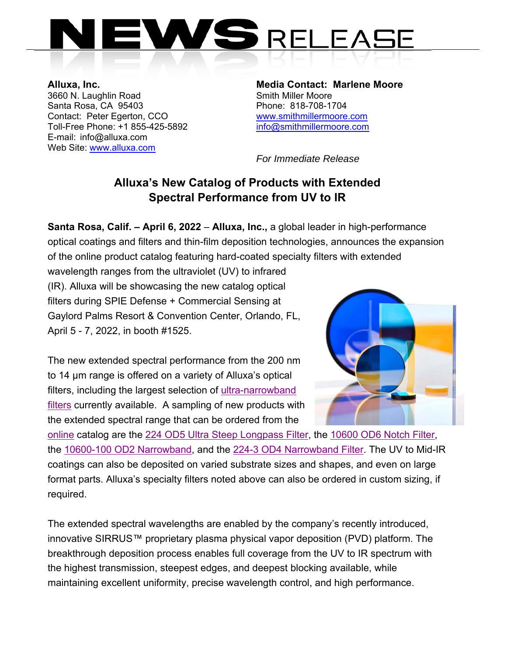

3660 N. Laughlin Road Smith Miller Moore Santa Rosa, CA 95403 Phone: 818-708-1704 Contact: Peter Egerton, CCO www.smithmillermoore.com Toll-Free Phone: +1 855-425-5892 info@smithmillermoore.com E-mail: info@alluxa.com Web Site: www.alluxa.com

**Alluxa, Inc. Media Contact: Marlene Moore** 

 *For Immediate Release* 

## **Alluxa's New Catalog of Products with Extended Spectral Performance from UV to IR**

**Santa Rosa, Calif. – April 6, 2022** – **Alluxa, Inc.,** a global leader in high-performance optical coatings and filters and thin-film deposition technologies, announces the expansion of the online product catalog featuring hard-coated specialty filters with extended

wavelength ranges from the ultraviolet (UV) to infrared (IR). Alluxa will be showcasing the new catalog optical filters during SPIE Defense + Commercial Sensing at Gaylord Palms Resort & Convention Center, Orlando, FL, April 5 - 7, 2022, in booth #1525.

The new extended spectral performance from the 200 nm to 14 µm range is offered on a variety of Alluxa's optical filters, including the largest selection of ultra-narrowband filters currently available. A sampling of new products with the extended spectral range that can be ordered from the



online catalog are the 224 OD5 Ultra Steep Longpass Filter, the 10600 OD6 Notch Filter, the 10600-100 OD2 Narrowband, and the 224-3 OD4 Narrowband Filter. The UV to Mid-IR coatings can also be deposited on varied substrate sizes and shapes, and even on large format parts. Alluxa's specialty filters noted above can also be ordered in custom sizing, if required.

The extended spectral wavelengths are enabled by the company's recently introduced, innovative SIRRUS™ proprietary plasma physical vapor deposition (PVD) platform. The breakthrough deposition process enables full coverage from the UV to IR spectrum with the highest transmission, steepest edges, and deepest blocking available, while maintaining excellent uniformity, precise wavelength control, and high performance.